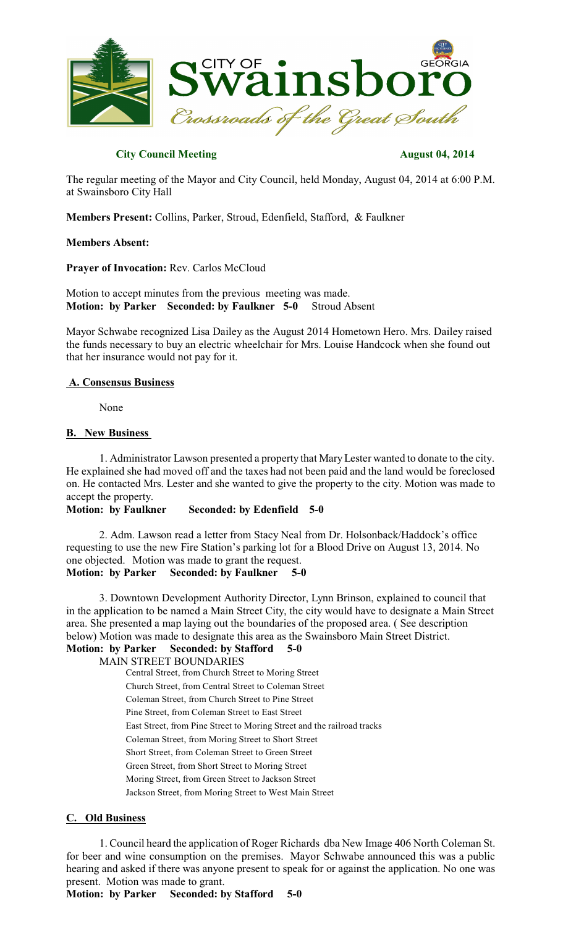

## **City Council Meeting August 04, 2014**

The regular meeting of the Mayor and City Council, held Monday, August 04, 2014 at 6:00 P.M. at Swainsboro City Hall

**Members Present:** Collins, Parker, Stroud, Edenfield, Stafford, & Faulkner

#### **Members Absent:**

**Prayer of Invocation:** Rev. Carlos McCloud

Motion to accept minutes from the previous meeting was made. **Motion: by Parker Seconded: by Faulkner 5-0** Stroud Absent

Mayor Schwabe recognized Lisa Dailey as the August 2014 Hometown Hero. Mrs. Dailey raised the funds necessary to buy an electric wheelchair for Mrs. Louise Handcock when she found out that her insurance would not pay for it.

#### **A. Consensus Business**

None

### **B. New Business**

1. Administrator Lawson presented a property that MaryLester wanted to donate to the city. He explained she had moved off and the taxes had not been paid and the land would be foreclosed on. He contacted Mrs. Lester and she wanted to give the property to the city. Motion was made to accept the property.

#### **Motion: by Faulkner Seconded: by Edenfield 5-0**

2. Adm. Lawson read a letter from Stacy Neal from Dr. Holsonback/Haddock's office requesting to use the new Fire Station's parking lot for a Blood Drive on August 13, 2014. No one objected. Motion was made to grant the request. **Motion: by Parker Seconded: by Faulkner 5-0**

3. Downtown Development Authority Director, Lynn Brinson, explained to council that in the application to be named a Main Street City, the city would have to designate a Main Street area. She presented a map laying out the boundaries of the proposed area. ( See description below) Motion was made to designate this area as the Swainsboro Main Street District. **Motion: by Parker Seconded: by Stafford 5-0**

MAIN STREET BOUNDARIES

Central Street, from Church Street to Moring Street Church Street, from Central Street to Coleman Street Coleman Street, from Church Street to Pine Street Pine Street, from Coleman Street to East Street East Street, from Pine Street to Moring Street and the railroad tracks Coleman Street, from Moring Street to Short Street Short Street, from Coleman Street to Green Street Green Street, from Short Street to Moring Street Moring Street, from Green Street to Jackson Street Jackson Street, from Moring Street to West Main Street

# **C. Old Business**

1. Council heard the application of Roger Richards dba New Image 406 North Coleman St. for beer and wine consumption on the premises. Mayor Schwabe announced this was a public hearing and asked if there was anyone present to speak for or against the application. No one was present. Motion was made to grant.

**Motion: by Parker Seconded: by Stafford 5-0**